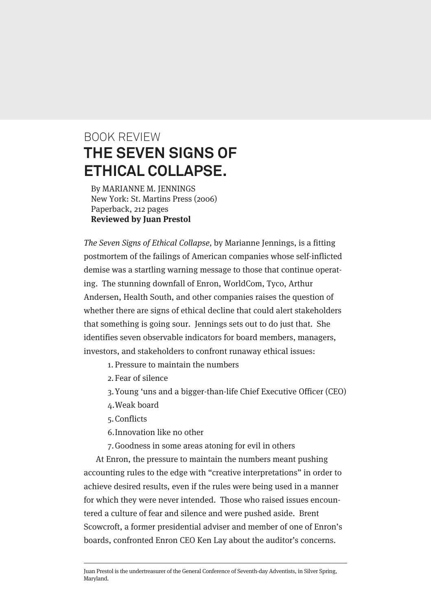## BOOK REVIEW **THE SEVEN SIGNS OF ETHICAL COLLAPSE.**

By MARIANNE M. JENNINGS New York: St. Martins Press (2006) Paperback, 212 pages **Reviewed by Juan Prestol**

The Seven Signs of Ethical Collapse, by Marianne Jennings, is a fitting postmortem of the failings of American companies whose self-inflicted demise was a startling warning message to those that continue operating. The stunning downfall of Enron, WorldCom, Tyco, Arthur Andersen, Health South, and other companies raises the question of whether there are signs of ethical decline that could alert stakeholders that something is going sour. Jennings sets out to do just that. She identifies seven observable indicators for board members, managers, investors, and stakeholders to confront runaway ethical issues:

- 1. Pressure to maintain the numbers
- 2. Fear of silence
- 3.Young 'uns and a bigger-than-life Chief Executive Officer (CEO)
- 4.Weak board
- 5. Conflicts
- 6.Innovation like no other

7.Goodness in some areas atoning for evil in others

At Enron, the pressure to maintain the numbers meant pushing accounting rules to the edge with "creative interpretations" in order to achieve desired results, even if the rules were being used in a manner for which they were never intended. Those who raised issues encountered a culture of fear and silence and were pushed aside. Brent Scowcroft, a former presidential adviser and member of one of Enron's boards, confronted Enron CEO Ken Lay about the auditor's concerns.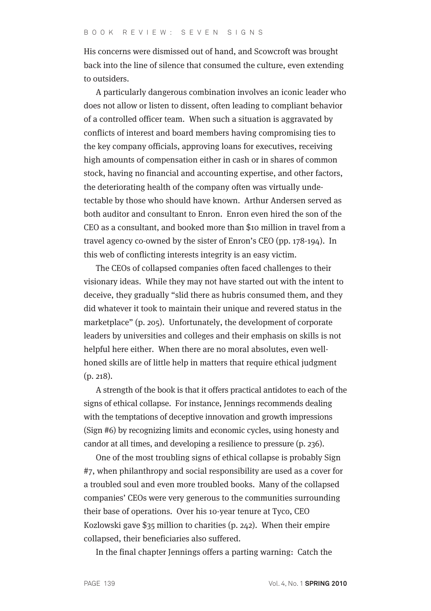His concerns were dismissed out of hand, and Scowcroft was brought back into the line of silence that consumed the culture, even extending to outsiders.

A particularly dangerous combination involves an iconic leader who does not allow or listen to dissent, often leading to compliant behavior of a controlled officer team. When such a situation is aggravated by conflicts of interest and board members having compromising ties to the key company officials, approving loans for executives, receiving high amounts of compensation either in cash or in shares of common stock, having no financial and accounting expertise, and other factors, the deteriorating health of the company often was virtually undetectable by those who should have known. Arthur Andersen served as both auditor and consultant to Enron. Enron even hired the son of the CEO as a consultant, and booked more than \$10 million in travel from a travel agency co-owned by the sister of Enron's CEO (pp. 178-194). In this web of conflicting interests integrity is an easy victim.

The CEOs of collapsed companies often faced challenges to their visionary ideas. While they may not have started out with the intent to deceive, they gradually "slid there as hubris consumed them, and they did whatever it took to maintain their unique and revered status in the marketplace" (p. 205). Unfortunately, the development of corporate leaders by universities and colleges and their emphasis on skills is not helpful here either. When there are no moral absolutes, even wellhoned skills are of little help in matters that require ethical judgment (p. 218).

A strength of the book is that it offers practical antidotes to each of the signs of ethical collapse. For instance, Jennings recommends dealing with the temptations of deceptive innovation and growth impressions (Sign #6) by recognizing limits and economic cycles, using honesty and candor at all times, and developing a resilience to pressure (p. 236).

One of the most troubling signs of ethical collapse is probably Sign #7, when philanthropy and social responsibility are used as a cover for a troubled soul and even more troubled books. Many of the collapsed companies' CEOs were very generous to the communities surrounding their base of operations. Over his 10-year tenure at Tyco, CEO Kozlowski gave \$35 million to charities (p. 242). When their empire collapsed, their beneficiaries also suffered.

In the final chapter Jennings offers a parting warning: Catch the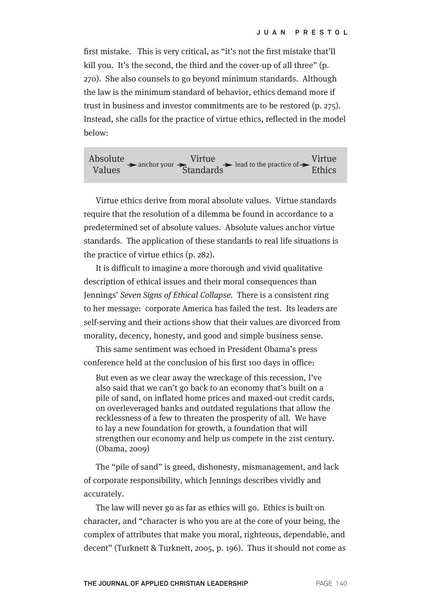first mistake. This is very critical, as "it's not the first mistake that'll kill you. It's the second, the third and the cover-up of all three" (p. 270). She also counsels to go beyond minimum standards. Although the law is the minimum standard of behavior, ethics demand more if trust in business and investor commitments are to be restored (p. 275). Instead, she calls for the practice of virtue ethics, reflected in the model below:

Absolute Values Virtue **Standards** Virtue anchor your  $\overline{\text{Standards}}$  lead to the practice of  $\overline{\text{Standards}}$ 

Virtue ethics derive from moral absolute values. Virtue standards require that the resolution of a dilemma be found in accordance to a predetermined set of absolute values. Absolute values anchor virtue standards. The application of these standards to real life situations is the practice of virtue ethics (p. 282).

It is difficult to imagine a more thorough and vivid qualitative description of ethical issues and their moral consequences than Jennings' Seven Signs of Ethical Collapse. There is a consistent ring to her message: corporate America has failed the test. Its leaders are self-serving and their actions show that their values are divorced from morality, decency, honesty, and good and simple business sense.

This same sentiment was echoed in President Obama's press conference held at the conclusion of his first 100 days in office:

But even as we clear away the wreckage of this recession, I've also said that we can't go back to an economy that's built on a pile of sand, on inflated home prices and maxed-out credit cards, on overleveraged banks and outdated regulations that allow the recklessness of a few to threaten the prosperity of all. We have to lay a new foundation for growth, a foundation that will strengthen our economy and help us compete in the 21st century. (Obama, 2009)

The "pile of sand" is greed, dishonesty, mismanagement, and lack of corporate responsibility, which Jennings describes vividly and accurately.

The law will never go as far as ethics will go. Ethics is built on character, and "character is who you are at the core of your being, the complex of attributes that make you moral, righteous, dependable, and decent" (Turknett & Turknett, 2005, p. 196). Thus it should not come as